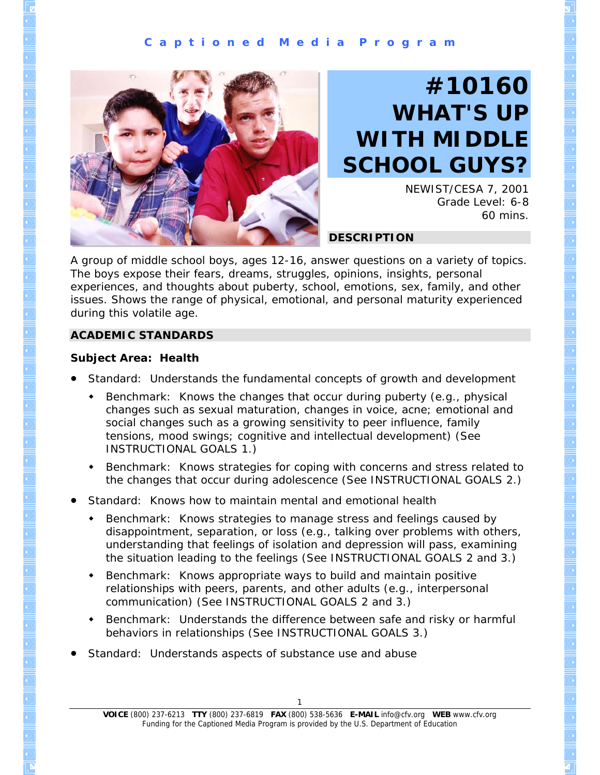#### **C a p t i o n e d M e d i a P r o g r a m**



# **#10160 WHAT'S UP WITH MIDDLE SCHOOL GUYS?**

NEWIST/CESA 7, 2001 Grade Level: 6-8 60 mins.

#### **DESCRIPTION**

A group of middle school boys, ages 12-16, answer questions on a variety of topics. The boys expose their fears, dreams, struggles, opinions, insights, personal experiences, and thoughts about puberty, school, emotions, sex, family, and other issues. Shows the range of physical, emotional, and personal maturity experienced during this volatile age.

#### **ACADEMIC STANDARDS**

#### **Subject Area: Health**

- Standard: Understands the fundamental concepts of growth and development
	- Benchmark: Knows the changes that occur during puberty (e.g., physical changes such as sexual maturation, changes in voice, acne; emotional and social changes such as a growing sensitivity to peer influence, family tensions, mood swings; cognitive and intellectual development) (See INSTRUCTIONAL GOALS 1.)
	- Benchmark: Knows strategies for coping with concerns and stress related to the changes that occur during adolescence (See INSTRUCTIONAL GOALS 2.)
- Standard: Knows how to maintain mental and emotional health
	- Benchmark: Knows strategies to manage stress and feelings caused by disappointment, separation, or loss (e.g., talking over problems with others, understanding that feelings of isolation and depression will pass, examining the situation leading to the feelings (See INSTRUCTIONAL GOALS 2 and 3.)
	- Benchmark: Knows appropriate ways to build and maintain positive relationships with peers, parents, and other adults (e.g., interpersonal communication) (See INSTRUCTIONAL GOALS 2 and 3.)
	- Benchmark: Understands the difference between safe and risky or harmful behaviors in relationships (See INSTRUCTIONAL GOALS 3.)
- Standard: Understands aspects of substance use and abuse

**VOICE** (800) 237-6213 **TTY** (800) 237-6819 **FAX** (800) 538-5636 **E-MAIL** info@cfv.org **WEB** www.cfv.org Funding for the Captioned Media Program is provided by the U.S. Department of Education 1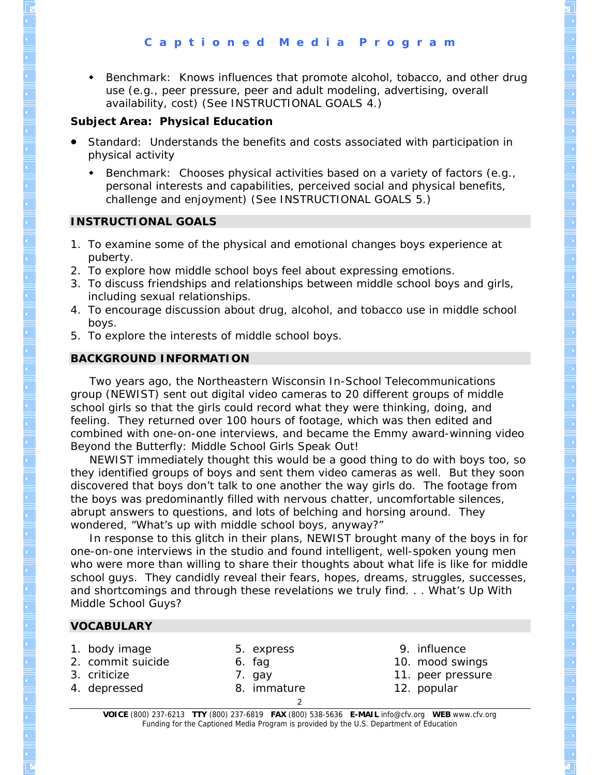Benchmark: Knows influences that promote alcohol, tobacco, and other drug use (e.g., peer pressure, peer and adult modeling, advertising, overall availability, cost) (See INSTRUCTIONAL GOALS 4.)

#### **Subject Area: Physical Education**

- Standard: Understands the benefits and costs associated with participation in physical activity
	- Benchmark: Chooses physical activities based on a variety of factors (e.g., personal interests and capabilities, perceived social and physical benefits, challenge and enjoyment) (See INSTRUCTIONAL GOALS 5.)

#### **INSTRUCTIONAL GOALS**

- 1. To examine some of the physical and emotional changes boys experience at puberty.
- 2. To explore how middle school boys feel about expressing emotions.
- 3. To discuss friendships and relationships between middle school boys and girls, including sexual relationships.
- 4. To encourage discussion about drug, alcohol, and tobacco use in middle school boys.
- 5. To explore the interests of middle school boys.

## **BACKGROUND INFORMATION**

 Two years ago, the Northeastern Wisconsin In-School Telecommunications group (NEWIST) sent out digital video cameras to 20 different groups of middle school girls so that the girls could record what they were thinking, doing, and feeling. They returned over 100 hours of footage, which was then edited and combined with one-on-one interviews, and became the Emmy award-winning video *Beyond the Butterfly: Middle School Girls Speak Out!* 

 NEWIST immediately thought this would be a good thing to do with boys too, so they identified groups of boys and sent them video cameras as well. But they soon discovered that boys don't talk to one another the way girls do. The footage from the boys was predominantly filled with nervous chatter, uncomfortable silences, abrupt answers to questions, and lots of belching and horsing around. They wondered, "What's up with middle school boys, anyway?"

 In response to this glitch in their plans, NEWIST brought many of the boys in for one-on-one interviews in the studio and found intelligent, well-spoken young men who were more than willing to share their thoughts about what life is like for middle school guys. They candidly reveal their fears, hopes, dreams, struggles, successes, and shortcomings and through these revelations we truly find. . . *What's Up With Middle School Guys?*

# **VOCABULARY**

- 1. body image
- 2. commit suicide
- 
- 3. criticize 4. depressed
- 5. express 6. fag
- 7. gay
- 8. immature
- 9. influence
- 10. mood swings
- 11. peer pressure
- 12. popular

**VOICE** (800) 237-6213 **TTY** (800) 237-6819 **FAX** (800) 538-5636 **E-MAIL** info@cfv.org **WEB** www.cfv.org Funding for the Captioned Media Program is provided by the U.S. Department of Education  $\mathfrak{D}$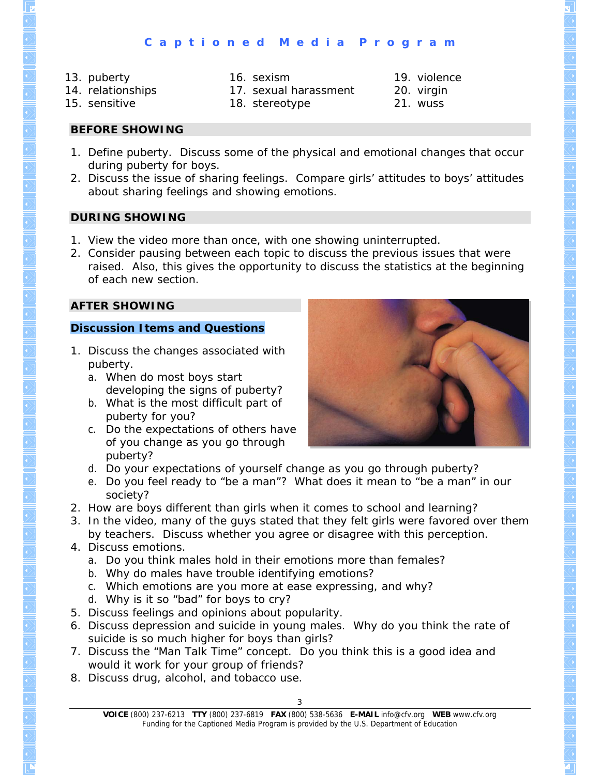- 13. puberty
- 14. relationships
- 16. sexism
- 15. sensitive
- 17. sexual harassment 18. stereotype
- 19. violence 20. virgin 21. wuss

**BEFORE SHOWING** 

- 1. Define *puberty*. Discuss some of the physical and emotional changes that occur during puberty for boys.
- 2. Discuss the issue of sharing feelings. Compare girls' attitudes to boys' attitudes about sharing feelings and showing emotions.

# **DURING SHOWING**

- 1. View the video more than once, with one showing uninterrupted.
- 2. Consider pausing between each topic to discuss the previous issues that were raised. Also, this gives the opportunity to discuss the statistics at the beginning of each new section.

# **AFTER SHOWING**

## **Discussion Items and Questions**

- 1. Discuss the changes associated with puberty.
	- a. When do most boys start developing the signs of puberty?
	- b. What is the most difficult part of puberty for you?
	- c. Do the expectations of others have of you change as you go through puberty?



- d. Do your expectations of yourself change as you go through puberty?
- e. Do you feel ready to "be a man"? What does it mean to "be a man" in our society?
- 2. How are boys different than girls when it comes to school and learning?
- 3. In the video, many of the guys stated that they felt girls were favored over them by teachers. Discuss whether you agree or disagree with this perception.
- 4. Discuss emotions.
	- a. Do you think males hold in their emotions more than females?
	- b. Why do males have trouble identifying emotions?
	- c. Which emotions are you more at ease expressing, and why?
	- d. Why is it so "bad" for boys to cry?
- 5. Discuss feelings and opinions about popularity.
- 6. Discuss depression and suicide in young males. Why do you think the rate of suicide is so much higher for boys than girls?
- 7. Discuss the "Man Talk Time" concept. Do you think this is a good idea and would it work for your group of friends?
- 8. Discuss drug, alcohol, and tobacco use.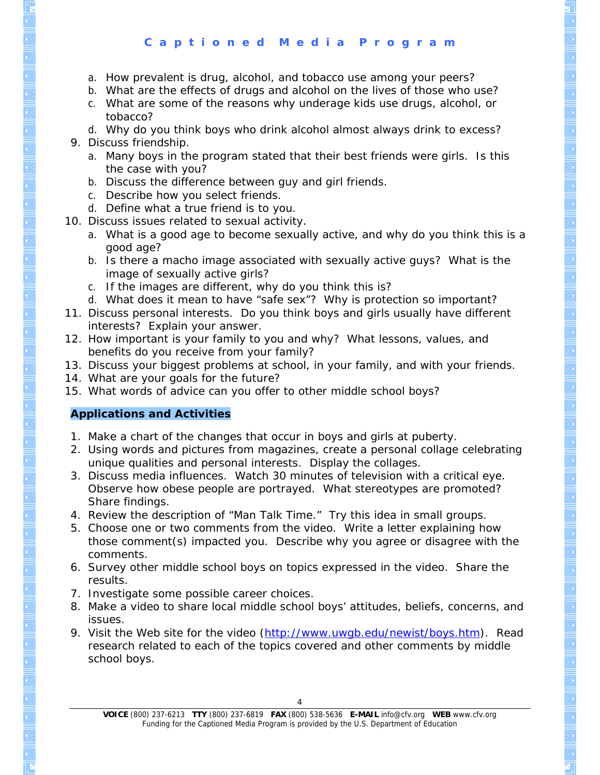## **C a p t i o n e d M e d i a P r o g r a m**

- a. How prevalent is drug, alcohol, and tobacco use among your peers?
- b. What are the effects of drugs and alcohol on the lives of those who use?
- c. What are some of the reasons why underage kids use drugs, alcohol, or tobacco?
- d. Why do you think boys who drink alcohol almost always drink to excess?
- 9. Discuss friendship.
	- a. Many boys in the program stated that their best friends were girls. Is this the case with you?
	- b. Discuss the difference between guy and girl friends.
	- c. Describe how you select friends.
- d. Define what a true friend is to you.
- 10. Discuss issues related to sexual activity.
	- a. What is a good age to become sexually active, and why do you think this is a good age?
	- b. Is there a macho image associated with sexually active guys? What is the image of sexually active girls?
	- c. If the images are different, why do you think this is?
	- d. What does it mean to have "safe sex"? Why is protection so important?
- 11. Discuss personal interests. Do you think boys and girls usually have different interests? Explain your answer.
- 12. How important is your family to you and why? What lessons, values, and benefits do you receive from your family?
- 13. Discuss your biggest problems at school, in your family, and with your friends.
- 14. What are your goals for the future?
- 15. What words of advice can you offer to other middle school boys?

# **Applications and Activities**

- 1. Make a chart of the changes that occur in boys and girls at puberty.
- 2. Using words and pictures from magazines, create a personal collage celebrating unique qualities and personal interests. Display the collages.
- 3. Discuss media influences. Watch 30 minutes of television with a critical eye. Observe how obese people are portrayed. What stereotypes are promoted? Share findings.
- 4. Review the description of "Man Talk Time." Try this idea in small groups.
- 5. Choose one or two comments from the video. Write a letter explaining how those comment(s) impacted you. Describe why you agree or disagree with the comments.
- 6. Survey other middle school boys on topics expressed in the video. Share the results.
- 7. Investigate some possible career choices.
- 8. Make a video to share local middle school boys' attitudes, beliefs, concerns, and issues.
- 9. Visit the Web site for the video [\(http://www.uwgb.edu/newist/boys.htm](http://www.uwgb.edu/newist/boys.htm)). Read research related to each of the topics covered and other comments by middle school boys.